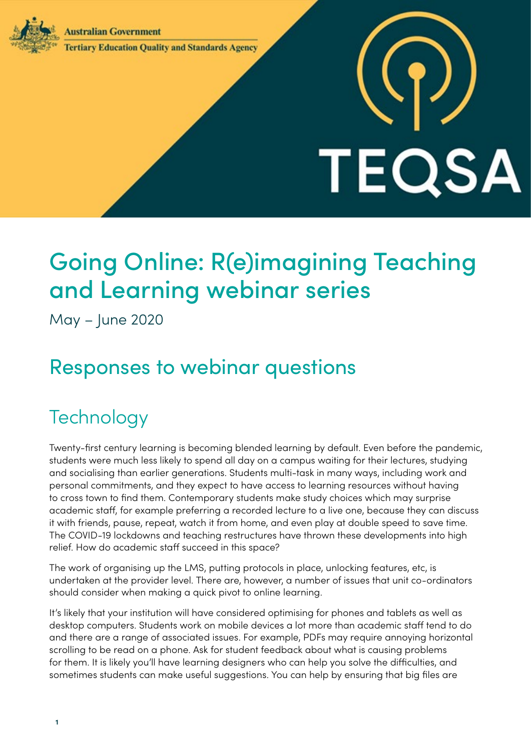**Australian Government** 



**Tertiary Education Quality and Standards Agency** 

# TEQSA

# Going Online: R(e)imagining Teaching and Learning webinar series

May – June 2020

# Responses to webinar questions

## **Technology**

Twenty-first century learning is becoming blended learning by default. Even before the pandemic, students were much less likely to spend all day on a campus waiting for their lectures, studying and socialising than earlier generations. Students multi-task in many ways, including work and personal commitments, and they expect to have access to learning resources without having to cross town to find them. Contemporary students make study choices which may surprise academic staff, for example preferring a recorded lecture to a live one, because they can discuss it with friends, pause, repeat, watch it from home, and even play at double speed to save time. The COVID-19 lockdowns and teaching restructures have thrown these developments into high relief. How do academic staff succeed in this space?

The work of organising up the LMS, putting protocols in place, unlocking features, etc, is undertaken at the provider level. There are, however, a number of issues that unit co-ordinators should consider when making a quick pivot to online learning.

It's likely that your institution will have considered optimising for phones and tablets as well as desktop computers. Students work on mobile devices a lot more than academic staff tend to do and there are a range of associated issues. For example, PDFs may require annoying horizontal scrolling to be read on a phone. Ask for student feedback about what is causing problems for them. It is likely you'll have learning designers who can help you solve the difficulties, and sometimes students can make useful suggestions. You can help by ensuring that big files are